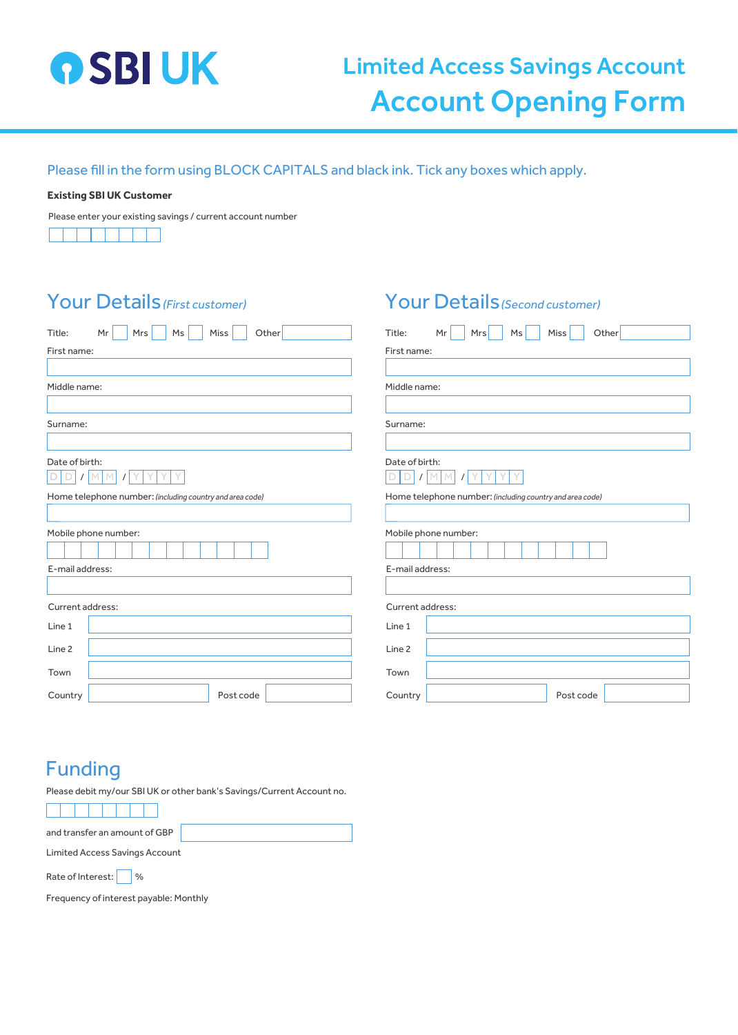

# Limited Access Savings Account Account Opening Form

Please fill in the form using BLOCK CAPITALS and black ink. Tick any boxes which apply.

#### **Existing SBI UK Customer**

Please enter your existing savings / current account number

#### Your Details (First customer)

| <b>Your Details (First customer)</b>                     | <b>Your Details</b> (Second customer)                    |  |  |  |  |
|----------------------------------------------------------|----------------------------------------------------------|--|--|--|--|
| Title:<br>Mr<br>Ms<br>Miss<br>Other<br>Mrs               | Mr<br>Ms<br>Miss<br>Other<br>Title:<br>Mrs               |  |  |  |  |
| First name:                                              | First name:                                              |  |  |  |  |
| Middle name:                                             | Middle name:                                             |  |  |  |  |
| Surname:                                                 | Surname:                                                 |  |  |  |  |
| Date of birth:<br>D<br>M<br>M                            | Date of birth:<br>D<br>M                                 |  |  |  |  |
| Home telephone number: (including country and area code) | Home telephone number: (including country and area code) |  |  |  |  |
| Mobile phone number:                                     | Mobile phone number:                                     |  |  |  |  |
| E-mail address:                                          | E-mail address:                                          |  |  |  |  |
| Current address:                                         | Current address:                                         |  |  |  |  |
| Line 1                                                   | Line 1                                                   |  |  |  |  |
| Line <sub>2</sub>                                        | Line <sub>2</sub>                                        |  |  |  |  |
| Town                                                     | Town                                                     |  |  |  |  |
| Country<br>Post code                                     | Country<br>Post code                                     |  |  |  |  |

| I Y I Y<br>DI/IMM<br>$\mathcal{L}$                       |                 |  |  |  |  |  |  |  |           |  |  |
|----------------------------------------------------------|-----------------|--|--|--|--|--|--|--|-----------|--|--|
| Home telephone number: (including country and area code) |                 |  |  |  |  |  |  |  |           |  |  |
|                                                          |                 |  |  |  |  |  |  |  |           |  |  |
| Mobile phone number:                                     |                 |  |  |  |  |  |  |  |           |  |  |
|                                                          |                 |  |  |  |  |  |  |  |           |  |  |
|                                                          | E-mail address: |  |  |  |  |  |  |  |           |  |  |
|                                                          |                 |  |  |  |  |  |  |  |           |  |  |
| Current address:                                         |                 |  |  |  |  |  |  |  |           |  |  |
| Line 1                                                   |                 |  |  |  |  |  |  |  |           |  |  |
| Line <sub>2</sub>                                        |                 |  |  |  |  |  |  |  |           |  |  |
| Town                                                     |                 |  |  |  |  |  |  |  |           |  |  |
| Country                                                  |                 |  |  |  |  |  |  |  | Post code |  |  |

#### Funding

Please debit my/our SBI UK or other bank's Savings/Current Account no.

and transfer an amount of GBP

Limited Access Savings Account

Rate of Interest:  $\Box$  %

Frequency of interest payable: Monthly